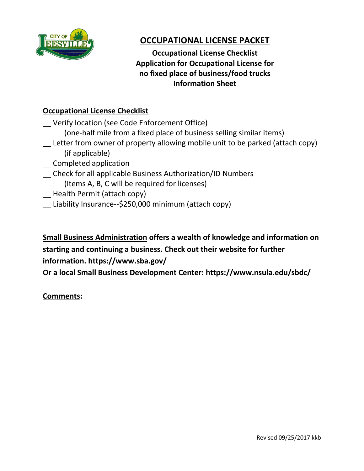

# **OCCUPATIONAL LICENSE PACKET**

 **Application for Occupational License for Occupational License Checklist no fixed place of business/food trucks Information Sheet**

## **Occupational License Checklist**

Verify location (see Code Enforcement Office) (one-half mile from a fixed place of business selling similar items)

- \_\_ Letter from owner of property allowing mobile unit to be parked (attach copy) (if applicable)
- \_\_ Completed application
- \_\_ Check for all applicable Business Authorization/ID Numbers (Items A, B, C will be required for licenses)
- \_\_ Health Permit (attach copy)
- \_\_ Liability Insurance--\$250,000 minimum (attach copy)

**Small Business Administration offers a wealth of knowledge and information on starting and continuing a business. Check out their website for further information. https://www.sba.gov/**

**Or a local Small Business Development Center: https://www.nsula.edu/sbdc/**

### **Comments:**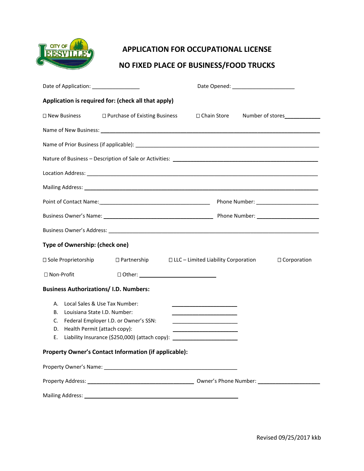

#### **APPLICATION FOR OCCUPATIONAL LICENSE**

#### **NO FIXED PLACE OF BUSINESS/FOOD TRUCKS**

| Date of Application: __________________                                                    |                                                                                                                                                                                                                                |  |                                                                                                                                                                                                                                                                                                   |                                |
|--------------------------------------------------------------------------------------------|--------------------------------------------------------------------------------------------------------------------------------------------------------------------------------------------------------------------------------|--|---------------------------------------------------------------------------------------------------------------------------------------------------------------------------------------------------------------------------------------------------------------------------------------------------|--------------------------------|
| Application is required for: (check all that apply)                                        |                                                                                                                                                                                                                                |  |                                                                                                                                                                                                                                                                                                   |                                |
|                                                                                            | $\square$ New Business $\square$ Purchase of Existing Business                                                                                                                                                                 |  |                                                                                                                                                                                                                                                                                                   | □ Chain Store Number of stores |
|                                                                                            | Name of New Business: 1988 Contract Contract Contract Contract Contract Contract Contract Contract Contract Contract Contract Contract Contract Contract Contract Contract Contract Contract Contract Contract Contract Contra |  |                                                                                                                                                                                                                                                                                                   |                                |
|                                                                                            |                                                                                                                                                                                                                                |  |                                                                                                                                                                                                                                                                                                   |                                |
|                                                                                            |                                                                                                                                                                                                                                |  |                                                                                                                                                                                                                                                                                                   |                                |
|                                                                                            |                                                                                                                                                                                                                                |  |                                                                                                                                                                                                                                                                                                   |                                |
|                                                                                            |                                                                                                                                                                                                                                |  |                                                                                                                                                                                                                                                                                                   |                                |
|                                                                                            |                                                                                                                                                                                                                                |  |                                                                                                                                                                                                                                                                                                   |                                |
|                                                                                            |                                                                                                                                                                                                                                |  |                                                                                                                                                                                                                                                                                                   |                                |
|                                                                                            |                                                                                                                                                                                                                                |  |                                                                                                                                                                                                                                                                                                   |                                |
| Type of Ownership: (check one)                                                             |                                                                                                                                                                                                                                |  |                                                                                                                                                                                                                                                                                                   |                                |
| □ Sole Proprietorship                                                                      | $\Box$ Partnership $\Box$ LLC – Limited Liability Corporation                                                                                                                                                                  |  |                                                                                                                                                                                                                                                                                                   | □ Corporation                  |
| □ Non-Profit                                                                               |                                                                                                                                                                                                                                |  |                                                                                                                                                                                                                                                                                                   |                                |
| <b>Business Authorizations/ I.D. Numbers:</b>                                              |                                                                                                                                                                                                                                |  |                                                                                                                                                                                                                                                                                                   |                                |
| А.<br>Louisiana State I.D. Number:<br>В.<br>C.<br>Health Permit (attach copy):<br>D.<br>Ε. | Local Sales & Use Tax Number:<br>Federal Employer I.D. or Owner's SSN:<br>Liability Insurance (\$250,000) (attach copy):                                                                                                       |  | <u> 2000 - John Stone, mars and de la population de la population de la population de la population de la popula</u><br><u> 1989 - Johann Barn, mars eta bainar eta bainar eta baina eta baina eta baina eta baina eta baina eta baina e</u><br><u> 2000 - Jan Barnett, mars et al. (b. 1980)</u> |                                |
| Property Owner's Contact Information (if applicable):                                      |                                                                                                                                                                                                                                |  |                                                                                                                                                                                                                                                                                                   |                                |
|                                                                                            |                                                                                                                                                                                                                                |  |                                                                                                                                                                                                                                                                                                   |                                |
|                                                                                            |                                                                                                                                                                                                                                |  |                                                                                                                                                                                                                                                                                                   |                                |
|                                                                                            |                                                                                                                                                                                                                                |  |                                                                                                                                                                                                                                                                                                   |                                |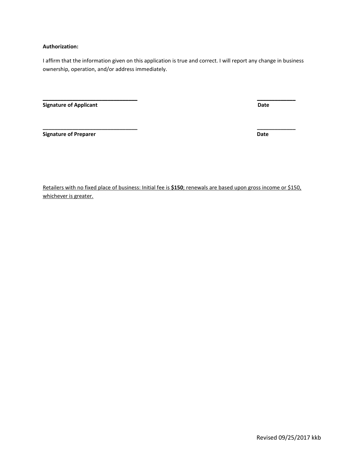#### **Authorization:**

I affirm that the information given on this application is true and correct. I will report any change in business ownership, operation, and/or address immediately.

**\_\_\_\_\_\_\_\_\_\_\_\_\_\_\_\_\_\_\_\_\_\_\_\_\_\_\_\_\_\_\_\_ \_\_\_\_\_\_\_\_\_\_\_\_\_**

**\_\_\_\_\_\_\_\_\_\_\_\_\_\_\_\_\_\_\_\_\_\_\_\_\_\_\_\_\_\_\_\_ \_\_\_\_\_\_\_\_\_\_\_\_\_**

**Signature of Applicant Date** 

**Signature of Preparer Contract Contract Contract Contract Contract Contract Contract Contract Contract Contract Contract Contract Contract Contract Contract Contract Contract Contract Contract Contract Contract Contract C** 

Retailers with no fixed place of business: Initial fee is **\$150**; renewals are based upon gross income or \$150, whichever is greater.